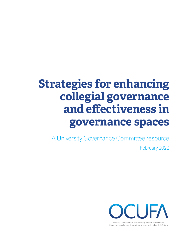# **Strategies for enhancing collegial governance and effectiveness in governance spaces**

A University Governance Committee resource

February 2022



Ontario Confederation of University Faculty Associations Union des associations des professeurs des universités de l'Ontario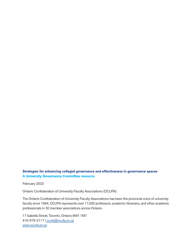#### **Strategies for enhancing collegial governance and effectiveness in governance spaces A University Governance Committee resource**

February 2022

Ontario Confederation of University Faculty Associations (OCUFA)

The Ontario Confederation of University Faculty Associations has been the provincial voice of university faculty since 1964. OCUFA represents over 17,000 professors, academic librarians, and other academic professionals in 30 member associations across Ontario.

17 Isabella Street, Toronto, Ontario M4Y 1M7 416-979-2117 | [ocufa@ocufa.on.ca](mailto:ocufa@ocufa.on.ca) [www.ocufa.on.ca](http://www.ocufa.on.ca)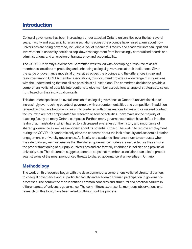# **Introduction**

Collegial governance has been increasingly under attack at Ontario universities over the last several years. Faculty and academic librarian associations across the province have raised alarm about how universities are being governed, including a lack of meaningful faculty and academic librarian input and involvement in university decisions, top-down management from increasingly corporatized boards and administrations, and an erosion of transparency and accountability.

The OCUFA University Governance Committee was tasked with developing a resource to assist member associations in protecting and enhancing collegial governance at their institutions. Given the range of governance models at universities across the province and the differences in size and resources among OCUFA member associations, this document provides a wide range of suggestions with the understanding that not all are possible at all institutions. The committee decided to provide a comprehensive list of possible interventions to give member associations a range of strategies to select from based on their individual contexts.

This document speaks to an overall erosion of collegial governance at Ontario's universities due to increasingly overreaching boards of governors with corporate mentalities and composition. In addition, tenured faculty have become increasingly burdened with other responsibilities and casualized contract faculty—who are not compensated for research or service activities—now make up the majority of teaching faculty on many Ontario campuses. Further, many governance matters have shifted into the realm of administrators, which has led to a decreased awareness of the history and importance of shared governance as well as skepticism about its potential impact. The switch to remote employment during the COVID-19 pandemic only elevated concerns about the lack of faculty and academic librarian engagement in university governance. As faculty and academic librarians return to campuses when it is safe to do so, we must ensure that the shared governance models are respected, as they ensure the proper functioning of our public universities and are formally enshrined in policies and provincial university acts. This document suggests concrete steps that member associations can take to protect against some of the most pronounced threats to shared governance at universities in Ontario.

#### **Methodology**

The work on this resource began with the development of a comprehensive list of structural barriers to collegial governance and, in particular, faculty and academic librarian participation in governance processes. The committee then identified common concerns and structural and practical barriers in different areas of university governance. The committee's expertise, its members' observations and research on this topic, have been relied on throughout the process.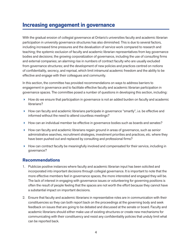### **Increasing engagement in governance**

With the gradual erosion of collegial governance at Ontario's universities faculty and academic librarian participation in university governance structures has also diminished. This is due to several factors, including increased time pressures and the devaluation of service work compared to research and teaching; the systemic exclusion of faculty and academic librarian representatives from key governance bodies and decisions; the growing corporatization of governance, including the use of consulting firms and external companies; an alarming rise in numbers of contract faculty who are usually excluded from governance structures; and the development of new policies and practices centred on notions of confidentiality, secrecy, and reprisal, which limit intramural academic freedom and the ability to be effective and engage with their colleagues and community.

In this section, the committee has provided recommendations on ways to address barriers to engagement in governance and to facilitate effective faculty and academic librarian participation in governance spaces. The committee posed a number of questions in developing this section, including:

- $\blacktriangleright$  How do we ensure that participation in governance is not an added burden on faculty and academic librarians?
- $\blacktriangleright$  How can faculty and academic librarians participate in governance "smartly", i.e. be effective and informed without the need to attend countless meetings?
- $\blacktriangleright$  How can an individual member be effective in governance bodies such as boards and senates?
- $\blacktriangleright$  How can faculty and academic librarians regain ground in areas of governance, such as senior administrative searches, recruitment strategies, investment priorities and practices, etc. where they have been pushed out and replaced by consulting and professional firms?
- $\blacktriangleright$  How can contract faculty be meaningfully involved and compensated for their service, including in governance?

- 1. Publicize positive instances where faculty and academic librarian input has been solicited and incorporated into important decisions through collegial governance. It is important to note that the more effective members feel in governance spaces, the more interested and engaged they will be. The lack of interest in engaging with governance issues or volunteering for governing positions is often the result of people feeling that the spaces are not worth the effort because they cannot have a substantial impact on important decisions.
- 2. Ensure that faculty and academic librarians in representative roles are in communication with their constituencies so they can both report back on the proceedings at the governing body and seek feedback on issues that are going to be debated and discussed at the senate or board. Faculty and academic librarians should either make use of existing structures or create new mechanisms for communicating with their constituency and resist any confidentiality policies that unduly limit what can be reported back.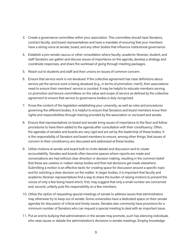- 3. Create a governance committee within your association. This committee should have Senators, contract faculty, and board representatives and have a mandate of ensuring that your members have a strong voice at senate, board, and any other bodies that influence institutional governance.
- 4. Establish a pre-senate caucus or other consultation where faculty, academic librarian, student, and staff Senators can gather and discuss issues of importance on the agenda, develop a strategy and coordinate responses, and share the workload of going through meeting packages.
- 5. Reach out to students and staff and their unions on issues of common concern.
- 6. Ensure that service work is not devalued. If the collective agreement has clear definitions about service yet the service work is being devalued (e.g., in terms of promotion, merit), then associations need to ensure their members' service is counted. It may be helpful to educate members serving on promotion and tenure committees on the value and scope of service as defined by the collective agreement to ensure that service to governance bodies is duly recognized.
- 7. Know the content of the legislation establishing your university, as well as rules and procedures governing the different bodies. It is helpful to ensure that Senators and board members know their rights and responsibilities through training provided by the association or via board and senate.
- 8. Ensure that representatives on board and senate bring issues of importance to the floor and follow procedures to have them added to the agenda after consultation with their constituency. Often, the agendas of senates and boards are very rigid and are set by the leadership of these bodies. It is the responsibility of Senators and board members to ensure, among other things, that issues of concern to their constituency are discussed and addressed at these bodies.
- 9. Utilize motions at senate and board both to invite debate and discussion and to create accountability. Senates and boards often become spaces where reports are made and conversations are had without clear direction or decision making, resulting in the common belief that these are useless or rubber-stamp bodies and that real decisions get made elsewhere. Submitting a motion is an effective tactic for creating space for discussion around a specific topic and for soliciting a clear decision on the matter. In larger bodies, it is important that faculty and academic librarian representatives find a way to share the burden of raising motions to prevent the voices of only a few being heard which, first, may suggest that only a small number are concerned and, second, unfairly puts the responsibility on a few members.
- 10. Utilize the option of requesting special meetings of senate to address issues that administrators may otherwise try to keep out of senate. Some universities have a dedicated space on their senate agendas for discussion of critical and timely issues. Senates also commonly have provisions for a minimum number of Senators who can request a special meeting to deal with an important issue.
- 11. Put an end to bullying that administrators in the senate may promote, such has silencing individuals who raise issues or debate the administration's decisions in senate meetings. Employ knowledge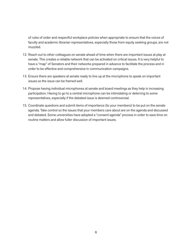of rules of order and respectful workplace policies when appropriate to ensure that the voices of faculty and academic librarian representatives, especially those from equity seeking groups, are not muzzled.

- 12. Reach out to other colleagues on senate ahead of time when there are important issues at play at senate. This creates a reliable network that can be activated on critical issues. It is very helpful to have a "map" of Senators and their networks prepared in advance to facilitate the process and in order to be effective and comprehensive in communication campaigns.
- 13. Ensure there are speakers at senate ready to line up at the microphone to speak on important issues so the issue can be framed well.
- 14. Propose having individual microphones at senate and board meetings as they help in increasing participation. Having to go to a central microphone can be intimidating or deterring to some representatives, especially if the debated issue is deemed controversial.
- 15. Coordinate questions and submit items of importance (to your members) to be put on the senate agenda. Take control so the issues that your members care about are on the agenda and discussed and debated. Some universities have adopted a "consent agenda" process in order to save time on routine matters and allow fuller discussion of important issues.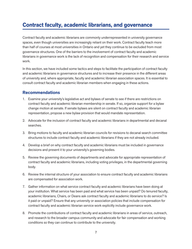# **Contract faculty, academic librarians, and governance**

Contract faculty and academic librarians are commonly underrepresented in university governance spaces, even though universities are increasingly reliant on their work. Contract faculty teach more than half of courses at most universities in Ontario and yet they continue to be excluded from most governance structures. One of the barriers to the involvement of contract faculty and academic librarians in governance work is the lack of recognition and compensation for their research and service work.

In this section, we have included some tactics and steps to facilitate the participation of contract faculty and academic librarians in governance structures and to increase their presence in the different areas of university and, where appropriate, faculty and academic librarian association spaces. It is essential to consult contract faculty and academic librarian members when engaging in these actions.

- 1. Examine your university's legislative act and bylaws of senate to see if there are restrictions on contract faculty and academic librarian membership in senate. If so, organize support for a bylaw change motion at senate. If senate bylaws are silent on contract faculty and academic librarian representation, propose a new bylaw provision that would mandate representation.
- 2. Advocate for the inclusion of contract faculty and academic librarians in departmental and decanal searches.
- 3. Bring motions to faculty and academic librarian councils for revisions to decanal search committee structures to include contract faculty and academic librarians if they are not already included.
- 4. Develop a brief on why contract faculty and academic librarians must be included in governance decisions and present it to your university's governing bodies.
- 5. Review the governing documents of departments and advocate for appropriate representation of contract faculty and academic librarians, including voting privileges, in the departmental governing body.
- 6. Review the internal structure of your association to ensure contract faculty and academic librarians are compensated for association work.
- 7. Gather information on what service contract faculty and academic librarians have been doing at your institution. What service has been paid and what service has been unpaid? Do tenured faculty, academic librarians, Chairs, or Deans ask contract faculty and academic librarians to do service? Is it paid or unpaid? Ensure that any university or association policies that include compensation for contract faculty and academic librarian service work explicitly include governance work.
- 8. Promote the contributions of contract faculty and academic librarians in areas of service, outreach, and research to the broader campus community and advocate for fair compensation and working conditions so they can continue to contribute to the university.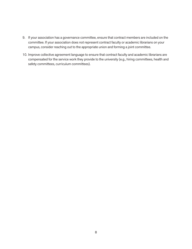- 9. If your association has a governance committee, ensure that contract members are included on the committee. If your association does not represent contract faculty or academic librarians on your campus, consider reaching out to the appropriate union and forming a joint committee.
- 10. Improve collective agreement language to ensure that contract faculty and academic librarians are compensated for the service work they provide to the university (e.g., hiring committees, health and safety committees, curriculum committees).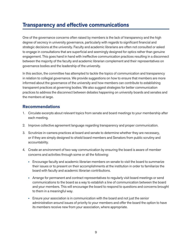### **Transparency and effective communications**

One of the governance concerns often raised by members is the lack of transparency and the high degree of secrecy in university governance, particularly with regards to significant financial and strategic decisions at the university. Faculty and academic librarians are often not consulted or asked to engage in consultations that are superficial and seemingly designed for optics rather than genuine engagement. This goes hand in hand with ineffective communication practices resulting in a disconnect between the majority of the faculty and academic librarian complement and their representatives on governance bodies and the leadership of the university.

In this section, the committee has attempted to tackle the topics of communication and transparency in relation to collegial governance. We provide suggestions on how to ensure that members are more informed about the governance of the university and how members can contribute to establishing transparent practices at governing bodies. We also suggest strategies for better communication practices to address the disconnect between debates happening on university boards and senates and the members at large.

- 1. Circulate excerpts about relevant topics from senate and board meetings to your membership after each meeting.
- 2. Improve collective agreement language regarding transparency and proper communication.
- 3. Scrutinize in-camera practices at board and senate to determine whether they are necessary, or if they are simply designed to shield board members and Senators from public scrutiny and accountability.
- 4. Create an environment of two-way communication by ensuring the board is aware of member concerns and activities through some or all the following:
	- Encourage faculty and academic librarian members on senate to visit the board to summarize their issues or to present on their accomplishments at the institution in order to familiarize the board with faculty and academic librarian contributions.
	- Arrange for permanent and contract representatives to regularly visit board meetings or send communications to the board as a way to establish a line of communication between the board and your members. This will encourage the board to respond to questions and concerns brought to them in a meaningful way.
	- Ensure your association is in communication with the board and not just the senior administration around issues of priority to your members and offer the board the option to have its members receive new from your association, where appropriate.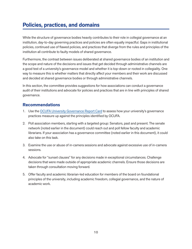# **Policies, practices, and domains**

While the structure of governance bodies heavily contributes to their role in collegial governance at an institution, day-to-day governing practices and policies are often equally impactful. Gaps in institutional policies, continued use of flawed policies, and practices that diverge from the rules and principles of the institution all contribute to faulty models of shared governance.

Furthermore, the contrast between issues deliberated at shared governance bodies of an institution and the scope and nature of the decisions and issues that get decided through administrative channels are a good test of a university's governance model and whether it is top-down or rooted in collegiality. One way to measure this is whether matters that directly affect your members and their work are discussed and decided at shared governance bodies or through administrative channels.

In this section, the committee provides suggestions for how associations can conduct a governance audit of their institutions and advocate for policies and practices that are in line with principles of shared governance.

- 1. Use the [OCUFA University Governance Report Card](https://ocufa.on.ca/members-area/governance-committee/governancereportcard/) to assess how your university's governance practices measure up against the principles identified by OCUFA.
- 2. Poll association members, starting with a targeted group: Senators, past and present. The senate network (noted earlier in the document) could reach out and poll fellow faculty and academic librarians. If your association has a governance committee (noted earlier in this document), it could also take on this task.
- 3. Examine the use or abuse of in-camera sessions and advocate against excessive use of in-camera sessions.
- 4. Advocate for "sunset clauses" for any decisions made in exceptional circumstances. Challenge decisions that were made outside of appropriate academic channels. Ensure those decisions are taken through consultation moving forward.
- 5. Offer faculty and academic librarian-led education for members of the board on foundational principles of the university, including academic freedom, collegial governance, and the nature of academic work.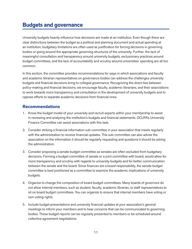# **Budgets and governance**

University budgets heavily influence how decisions are made at an institution. Even though there are clear distinctions between the budget as a political and planning document and actual spending at an institution, budgetary limitations are often used as justification for forcing decisions in governing bodies or going around the appropriate governing structures of the university. Further, the lack of meaningful consultation and transparency around university budgets, exclusionary practices around budget committees, and the lack of accountability and scrutiny around universities' spending are all too common.

In this section, the committee provides recommendations for ways in which associations and faculty and academic librarian representatives on governance bodies can address the challenges university budgets and financial decisions bring to collegial governance. Recognizing the direct ties between policy-making and financial decisions, we encourage faculty, academic librarians, and their associations to work towards more transparency and consultation in the development of university budgets and to oppose efforts to separate academic decisions from financial ones.

- 1. Know the budget model of your university and recruit experts within your membership to assist in reviewing and analyzing the institution's budgets and financial statements. OCUFA's University Finance Committee can assist associations with this task.
- 2. Consider striking a financial information sub-committee in your association that meets regularly with the administration to receive financial updates. This sub-committee can also advise the association on the information it should be regularly requesting and questions it should be asking the administration.
- 3. Consider proposing a senate budget committee as senates are often excluded from budgetary decisions. Forming a budget committee of senate or a joint committee with board, would allow for more transparency and scrutiny with regards to university budgets and for better communication between the senate and the board. Since finances are a board responsibility, the senate budget committee is best positioned as a committee to examine the academic implications of university budgets.
- 4. Organize to change the composition of board budget committees. Many boards of governors do not allow internal members, such as student, faculty, academic librarian, or staff representatives to sit on board budget committees. You can organize to ensure that internal members have voting or non-voting rights.
- 5. Include budget presentations and university financial updates at your association's general meetings to inform your members and to hear concerns that can be communicated to governing bodies. These budget reports can be regularly presented to members or be scheduled around collective agreement negotiations.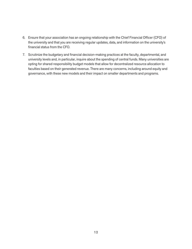- 6. Ensure that your association has an ongoing relationship with the Chief Financial Officer (CFO) of the university and that you are receiving regular updates, data, and information on the university's financial status from the CFO.
- 7. Scrutinize the budgetary and financial decision-making practices at the faculty, departmental, and university levels and, in particular, inquire about the spending of central funds. Many universities are opting for shared responsibility budget models that allow for decentralized resource allocation to faculties based on their generated revenue. There are many concerns, including around equity and governance, with these new models and their impact on smaller departments and programs.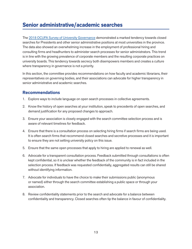# **Senior administrative/academic searches**

The [2018 OCUFA Survey of University Governance](https://ocufa.on.ca/research-submissions/collegial-governance-at-ontario-universities-report-of-the-ocufa-university-governance-committee/) demonstrated a marked tendency towards closed searches for Presidents and other senior administrative positions at most universities in the province. The data also showed an overwhelming increase in the employment of professional hiring and consulting firms and headhunters to administer search processes for senior administrators. This trend is in line with the growing prevalence of corporate members and the resulting corporate practices on university boards. This tendency towards secrecy both disempowers members and creates a culture where transparency in governance is not a priority.

In this section, the committee provides recommendations on how faculty and academic librarians, their representatives on governing bodies, and their associations can advocate for higher transparency in senior administrative and academic searches.

- 1. Explore ways to include language on open search processes in collective agreements.
- 2. Know the history of open searches at your institution, speak to precedents of open searches, and demand justification for any proposed changes to approach.
- 3. Ensure your association is closely engaged with the search committee selection process and is aware of relevant timelines for feedback.
- 4. Ensure that there is a consultation process on selecting hiring firms if search firms are being used. It is often search firms that recommend closed searches and secretive processes and it is important to ensure they are not setting university policy on this issue.
- 5. Ensure that the same open processes that apply to hiring are applied to renewal as well.
- 6. Advocate for a transparent consultation process. Feedback submitted through consultations is often kept confidential, so it is unclear whether the feedback of the community is in fact included in the selection process. If feedback was requested confidentially, aggregated results can still be shared without identifying information.
- 7. Advocate for individuals to have the choice to make their submissions public (anonymous or named) either through the search committee establishing a public space or through your association.
- 8. Review confidentiality statements prior to the search and advocate for a balance between confidentiality and transparency. Closed searches often tip the balance in favour of confidentiality.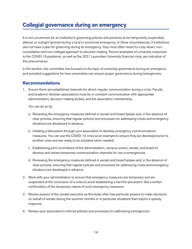### **Collegial governance during an emergency**

It is not uncommon for an institution's governing policies and practices to be temporarily suspended, altered, or outright ignored during a local or provincial emergency. In these circumstances, if institutions doe not have a plan for governing during an emergency, they most often revert to a top-down, nonconsultative and non-collegial approach to decision-making. Recent examples of university responses to the COVID-19 pandemic, as well as the 2021 Laurentian University financial crisis, are indicative of this phenomenon.

In this section, the committee has focused on the topic of university governance during an emergency and provided suggestions for how universities can ensure proper governance during emergencies.

#### **Recommendations**

1. Ensure there are established channels for direct, regular communication during a crisis. Faculty and academic librarian associations must be in constant communication with appropriate administrators, decision-making bodies, and the association membership.

You can do so by:

- a. Reviewing the emergency measures defined in senate and board bylaws and, in the absence of clear process, ensuring that regular policies and processes for addressing crises and emergency situations are developed in advance.
- b. Initiating a discussion through your association to develop emergency communications measures. You can use the COVID-19 crisis as an example to ensure they are developed prior to another crisis and are ready to be activated when needed.
- c. Establishing joint committees of the administration, campus unions, senate, and board to develop and review temporary communication channels for use in emergencies.
- d. Reviewing the emergency measures defined in senate and board bylaws and, in the absence of clear process, ensuring that regular policies and processes for addressing crises and emergency situations are developed in advance.
- 2. Work with your administration to ensure that emergency measures are temporary and are suspended at the conclusion of a crisis to avoid establishing a harmful precedent. Get a written confirmation of the temporary nature of such emergency measures.
- 3. Review powers of the senate executive as this body often has particular powers to make decisions on behalf of senate during the summer months or in particular situations that require a speedy response.
- 4. Review your association's internal policies and processes for addressing emergencies.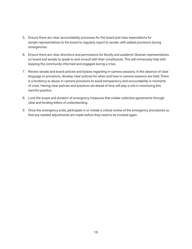- 5. Ensure there are clear accountability processes for the board and clear expectations for senate representatives to the board to regularly report to senate, with added provisions during emergencies.
- 6. Ensure there are clear directions and permissions for faculty and academic librarian representatives on board and senate to speak to and consult with their constituents. This will immensely help with keeping the community informed and engaged during a crisis.
- 7. Review senate and board policies and bylaws regarding in-camera sessions. In the absence of clear language or provisions, develop clear policies for when and how in-camera sessions are held. There is a tendency to abuse in-camera provisions to avoid transparency and accountability in moments of crisis. Having clear policies and practices set ahead of time will play a role in minimizing this harmful practice.
- 8. Limit the scope and duration of emergency measures that violate collective agreements through clear and binding letters of understanding.
- 9. Once the emergency ends, participate in or initiate a critical review of the emergency procedures so that any needed adjustments are made before they need to be invoked again.